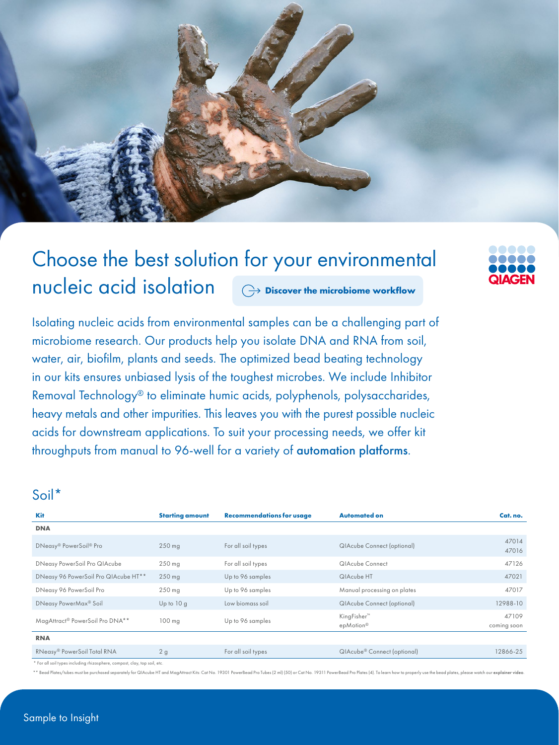

### Choose the best solution for your environmental nucleic acid isolation **[Discover the microbiome workflow](https://www.qiagen.com/applications/microbiome)**

Isolating nucleic acids from environmental samples can be a challenging part of microbiome research. Our products help you isolate DNA and RNA from soil, water, air, biofilm, plants and seeds. The optimized bead beating technology in our kits ensures unbiased lysis of the toughest microbes. We include Inhibitor Removal Technology® to eliminate humic acids, polyphenols, polysaccharides, heavy metals and other impurities. This leaves you with the purest possible nucleic acids for downstream applications. To suit your processing needs, we offer kit throughputs from manual to 96-well for a variety of [automation platforms](https://www.qiagen.com/applications/microbiome#automated-solutions).

#### Soil\*

| <b>Kit</b>                           | <b>Starting amount</b> | <b>Recommendations for usage</b> | <b>Automated on</b>                     | Cat. no.             |
|--------------------------------------|------------------------|----------------------------------|-----------------------------------------|----------------------|
| <b>DNA</b>                           |                        |                                  |                                         |                      |
| DNeasy® PowerSoil® Pro               | $250$ mg               | For all soil types               | <b>QIAcube Connect (optional)</b>       | 47014<br>47016       |
| DNeasy PowerSoil Pro QIAcube         | $250$ mg               | For all soil types               | QIAcube Connect                         | 47126                |
| DNeasy 96 PowerSoil Pro QIAcube HT** | $250$ mg               | Up to 96 samples                 | QIAcube HT                              | 47021                |
| DNeasy 96 PowerSoil Pro              | $250$ mg               | Up to 96 samples                 | Manual processing on plates             | 47017                |
| DNeasy PowerMax <sup>®</sup> Soil    | Up to $10 g$           | Low biomass soil                 | <b>QIAcube Connect (optional)</b>       | 12988-10             |
| MagAttract® PowerSoil Pro DNA**      | $100$ mg               | Up to 96 samples                 | KingFisher <sup>™</sup><br>epMotion®    | 47109<br>coming soon |
| <b>RNA</b>                           |                        |                                  |                                         |                      |
| RNeasy® PowerSoil Total RNA          | 2g                     | For all soil types               | QIAcube <sup>®</sup> Connect (optional) | 12866-25             |

For all soil types including rhizosphere, compost, clay, top soil, etc.

d Plates/tubes must be purchased separately for QIAcube HT and MagAttract Kits: Cat No. 19301 PowerBead Pro Tubes (2 ml) [50] or Cat No. 19311 PowerBead Pro Plates (4). To learn how to properly use the bead plates, please